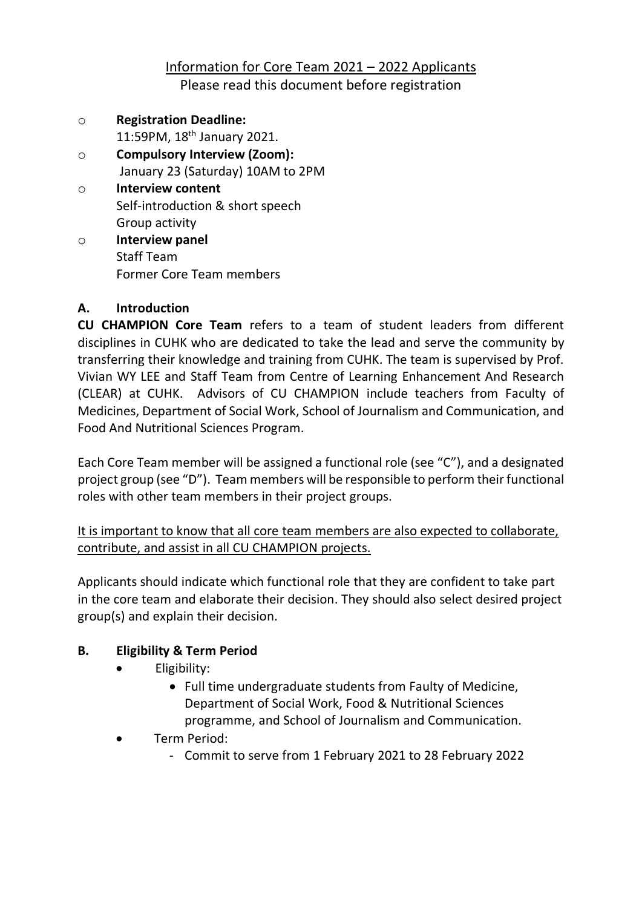Information for Core Team 2021 – 2022 Applicants Please read this document before registration

- o **Registration Deadline:** 11:59PM, 18<sup>th</sup> January 2021. o **Compulsory Interview (Zoom):**
	- January 23 (Saturday) 10AM to 2PM
- o **Interview content**  Self-introduction & short speech Group activity
- o **Interview panel**  Staff Team Former Core Team members

## **A. Introduction**

**CU CHAMPION Core Team** refers to a team of student leaders from different disciplines in CUHK who are dedicated to take the lead and serve the community by transferring their knowledge and training from CUHK. The team is supervised by Prof. Vivian WY LEE and Staff Team from Centre of Learning Enhancement And Research (CLEAR) at CUHK. Advisors of CU CHAMPION include teachers from Faculty of Medicines, Department of Social Work, School of Journalism and Communication, and Food And Nutritional Sciences Program.

Each Core Team member will be assigned a functional role (see "C"), and a designated project group (see "D"). Team members will be responsible to perform their functional roles with other team members in their project groups.

It is important to know that all core team members are also expected to collaborate, contribute, and assist in all CU CHAMPION projects.

Applicants should indicate which functional role that they are confident to take part in the core team and elaborate their decision. They should also select desired project group(s) and explain their decision.

# **B. Eligibility & Term Period**

- Eligibility:
	- Full time undergraduate students from Faulty of Medicine, Department of Social Work, Food & Nutritional Sciences programme, and School of Journalism and Communication.
- Term Period:
	- Commit to serve from 1 February 2021 to 28 February 2022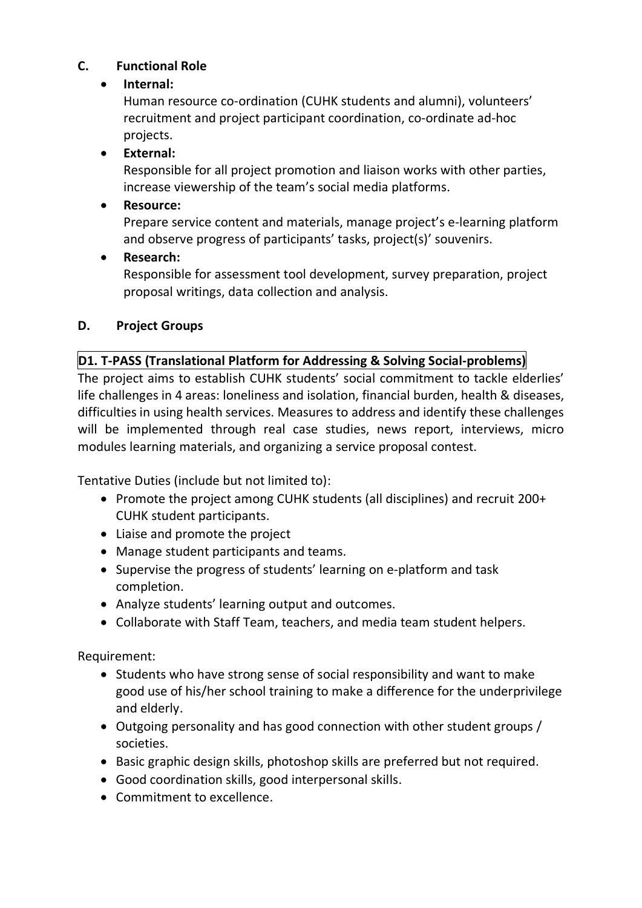### **C. Functional Role**

#### • **Internal:**

Human resource co-ordination (CUHK students and alumni), volunteers' recruitment and project participant coordination, co-ordinate ad-hoc projects.

### • **External:**

Responsible for all project promotion and liaison works with other parties, increase viewership of the team's social media platforms.

### • **Resource:**

Prepare service content and materials, manage project's e-learning platform and observe progress of participants' tasks, project(s)' souvenirs.

#### • **Research:**

Responsible for assessment tool development, survey preparation, project proposal writings, data collection and analysis.

#### **D. Project Groups**

#### **D1. T-PASS (Translational Platform for Addressing & Solving Social-problems)**

The project aims to establish CUHK students' social commitment to tackle elderlies' life challenges in 4 areas: loneliness and isolation, financial burden, health & diseases, difficulties in using health services. Measures to address and identify these challenges will be implemented through real case studies, news report, interviews, micro modules learning materials, and organizing a service proposal contest.

Tentative Duties (include but not limited to):

- Promote the project among CUHK students (all disciplines) and recruit 200+ CUHK student participants.
- Liaise and promote the project
- Manage student participants and teams.
- Supervise the progress of students' learning on e-platform and task completion.
- Analyze students' learning output and outcomes.
- Collaborate with Staff Team, teachers, and media team student helpers.

Requirement:

- Students who have strong sense of social responsibility and want to make good use of his/her school training to make a difference for the underprivilege and elderly.
- Outgoing personality and has good connection with other student groups / societies.
- Basic graphic design skills, photoshop skills are preferred but not required.
- Good coordination skills, good interpersonal skills.
- Commitment to excellence.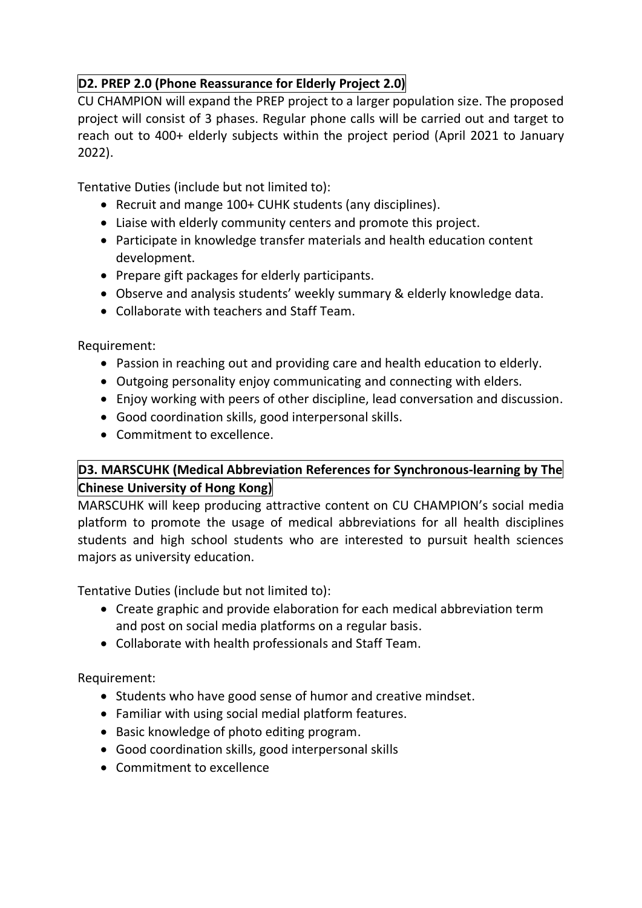## **D2. PREP 2.0 (Phone Reassurance for Elderly Project 2.0)**

CU CHAMPION will expand the PREP project to a larger population size. The proposed project will consist of 3 phases. Regular phone calls will be carried out and target to reach out to 400+ elderly subjects within the project period (April 2021 to January 2022).

Tentative Duties (include but not limited to):

- Recruit and mange 100+ CUHK students (any disciplines).
- Liaise with elderly community centers and promote this project.
- Participate in knowledge transfer materials and health education content development.
- Prepare gift packages for elderly participants.
- Observe and analysis students' weekly summary & elderly knowledge data.
- Collaborate with teachers and Staff Team.

Requirement:

- Passion in reaching out and providing care and health education to elderly.
- Outgoing personality enjoy communicating and connecting with elders.
- Enjoy working with peers of other discipline, lead conversation and discussion.
- Good coordination skills, good interpersonal skills.
- Commitment to excellence.

# **D3. MARSCUHK (Medical Abbreviation References for Synchronous-learning by The Chinese University of Hong Kong)**

MARSCUHK will keep producing attractive content on CU CHAMPION's social media platform to promote the usage of medical abbreviations for all health disciplines students and high school students who are interested to pursuit health sciences majors as university education.

Tentative Duties (include but not limited to):

- Create graphic and provide elaboration for each medical abbreviation term and post on social media platforms on a regular basis.
- Collaborate with health professionals and Staff Team.

Requirement:

- Students who have good sense of humor and creative mindset.
- Familiar with using social medial platform features.
- Basic knowledge of photo editing program.
- Good coordination skills, good interpersonal skills
- Commitment to excellence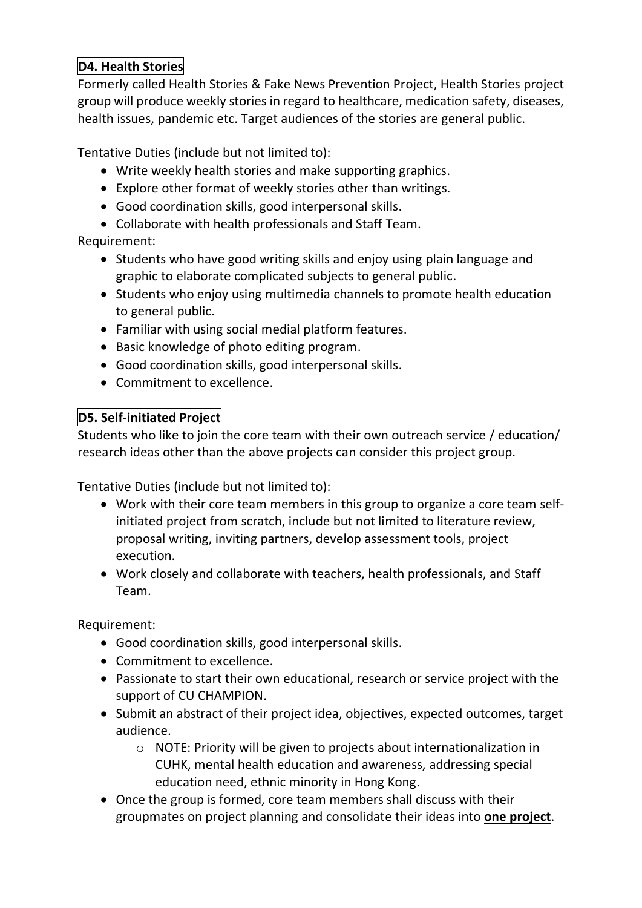## **D4. Health Stories**

Formerly called Health Stories & Fake News Prevention Project, Health Stories project group will produce weekly stories in regard to healthcare, medication safety, diseases, health issues, pandemic etc. Target audiences of the stories are general public.

Tentative Duties (include but not limited to):

- Write weekly health stories and make supporting graphics.
- Explore other format of weekly stories other than writings.
- Good coordination skills, good interpersonal skills.
- Collaborate with health professionals and Staff Team.

#### Requirement:

- Students who have good writing skills and enjoy using plain language and graphic to elaborate complicated subjects to general public.
- Students who enjoy using multimedia channels to promote health education to general public.
- Familiar with using social medial platform features.
- Basic knowledge of photo editing program.
- Good coordination skills, good interpersonal skills.
- Commitment to excellence.

### **D5. Self-initiated Project**

Students who like to join the core team with their own outreach service / education/ research ideas other than the above projects can consider this project group.

Tentative Duties (include but not limited to):

- Work with their core team members in this group to organize a core team selfinitiated project from scratch, include but not limited to literature review, proposal writing, inviting partners, develop assessment tools, project execution.
- Work closely and collaborate with teachers, health professionals, and Staff Team.

Requirement:

- Good coordination skills, good interpersonal skills.
- Commitment to excellence.
- Passionate to start their own educational, research or service project with the support of CU CHAMPION.
- Submit an abstract of their project idea, objectives, expected outcomes, target audience.
	- o NOTE: Priority will be given to projects about internationalization in CUHK, mental health education and awareness, addressing special education need, ethnic minority in Hong Kong.
- Once the group is formed, core team members shall discuss with their groupmates on project planning and consolidate their ideas into **one project**.